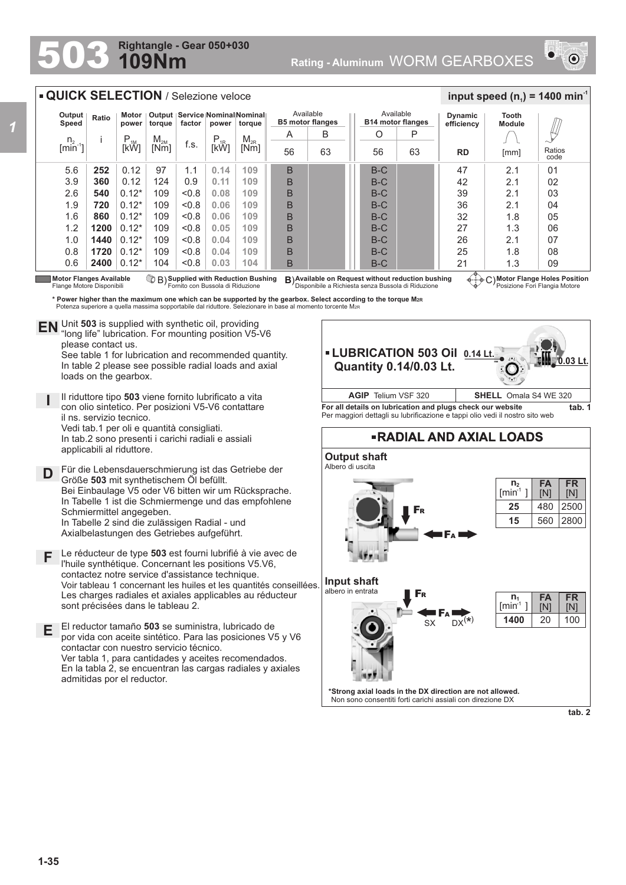## **109Nm Rightangle - Gear 050+030**



## F<sup>R</sup> **RADIAL AND AXIAL LOADS Output shaft** Albero di uscita **Input shaft** albero in entrata  $S_X$  DX<sup>(\*)</sup> F<sup>A</sup> F<sup>R</sup> F<sup>A</sup> **Motor Flange Holes Position** Posizione Fori Flangia Motore **Motor Flanges Available ③ B) Supplied with Reduction Bushing B)Available on Request without reduction bushing ④……<br>Flange Motore Disponibili Fornito con Bussola di Riduzione Disponibile a Richiesta senza Bu** Flange Motore Disponibili **Supplied with Reduction Bushing** Fornito con Bussola di Riduzione B) **B**) 5.6 3.9 2.6 1.9 1.6 1.2 1.0 0.8 0.6 **252 360 540 720 860 1200 1440 1720 2400** 0.12 0.12 0.12\*  $0.12*$ 0.12\* 0.12\* 0.12\*  $0.12*$ 0.12\* 97 124 109  $109$  $1<sub>0</sub>$ 109 109 109 104 1.1 0.9  $< 0.8$  $< 0.8$  $< 0.8$  $< 0.8$  $< 0.8$  $< 0.8$  $< 0.8$ n.  $[min^{-1}]$ i P<br>[kW]  $M_{2M}$ <br>Mml  $\begin{array}{c|c|c|c} \mathsf{M}_{\mathsf{2M}} & \mathsf{f.s.} & \mathsf{P}_{\mathsf{1R}} & \mathsf{M}_{\mathsf{2R}} \ \hline \mathsf{[Nm]} & \mathsf{[KW]} & \mathsf{[KW]} \end{array}$ **Output Speed Ratio Motor power Output torque Service Nominal Nominal factor power torque QUICK SELECTION** / Selezione veloce Available **B5 motor flanges RD Dynamic efficiency** 47 42 39 36 32 27 26 25 21 2.1 2.1 2.1 2.1 1.8 1.3 2.1 1.8 1.3 Ratios code 01 02 03 04 05 06 07 08 09 **Tooth Module**  $\frac{1}{2}$  **input speed (n**<sub>1</sub>) = 1400 min<sup>-1</sup> Available **B14 motor flanges** P 63 O 56 B B B B B B B B B B 63 A 56 \* Power higher than the maximum one which can be supported by the gearbox. Select according to the torque M2R\*<br>Potenza superiore a quella massima sopportabile dal riduttore. Selezionare in base al momento torcente M2R\* B-C B-C  $B-C$ B-C  $B-C$  $B-C$  $B-C$  $B-C$ B-C 2800 **FR** [N] **FA** [N] 560 **n 2**  $[min^1]$ **15** 100 **FR** [N] **FA** [N] 20 **n** <mark>min ]</mark> [min<sup>1</sup> **1400 25** 480 2500 **LUBRICATION 503 Oil 0.14 Lt. Quantity 0.14/0.03 Lt. 0.03 Lt. For all details on lubrication and plugs check our website tab. 1** Per maggiori dettagli su lubrificazione e tappi olio vedi il nostro sito web **AGIP** Telium VSF 320 **SHELL** Omala S4 WE 320 [mm] Unit **503** is supplied with synthetic oil, providing **EN** Unit 503 is supplied with synthetic oil, providing<br>"long life" lubrication. For mounting position V5-V6 please contact us. See table 1 for lubrication and recommended quantity. In table 2 please see possible radial loads and axial loads on the gearbox. **D E I** Il riduttore tipo **503** viene fornito lubrificato a vita con olio sintetico. Per posizioni V5-V6 contattare il ns. servizio tecnico. Vedi tab.1 per oli e quantità consigliati. In tab.2 sono presenti i carichi radiali e assiali applicabili al riduttore. Für die Lebensdauerschmierung ist das Getriebe der Größe **503** mit synthetischem Öl befüllt. Bei Einbaulage V5 oder V6 bitten wir um Rücksprache. In Tabelle 1 ist die Schmiermenge und das empfohlene Schmiermittel angegeben. In Tabelle 2 sind die zulässigen Radial - und Axialbelastungen des Getriebes aufgeführt. El reductor tamaño **503** se suministra, lubricado de por vida con aceite sintético. Para las posiciones V5 y V6 contactar con nuestro servicio técnico. Ver tabla 1, para cantidades y aceites recomendados. En la tabla 2, se encuentran las cargas radiales y axiales admitidas por el reductor. **F** Le réducteur de type **503** est fourni lubrifié à vie avec de l'huile synthétique. Concernant les positions V5.V6, contactez notre service d'assistance technique. Voir tableau 1 concernant les huiles et les quantités conseillées. Les charges radiales et axiales applicables au réducteur sont précisées dans le tableau 2. **0.14 0.11 0.08 0.06 0.06 0.05 0.04 0.04 0.03 109 109 109 109 109 109 109 109 104**

**\*Strong axial loads in the DX direction are not allowed.** Non sono consentiti forti carichi assiali con direzione DX

**tab. 2**